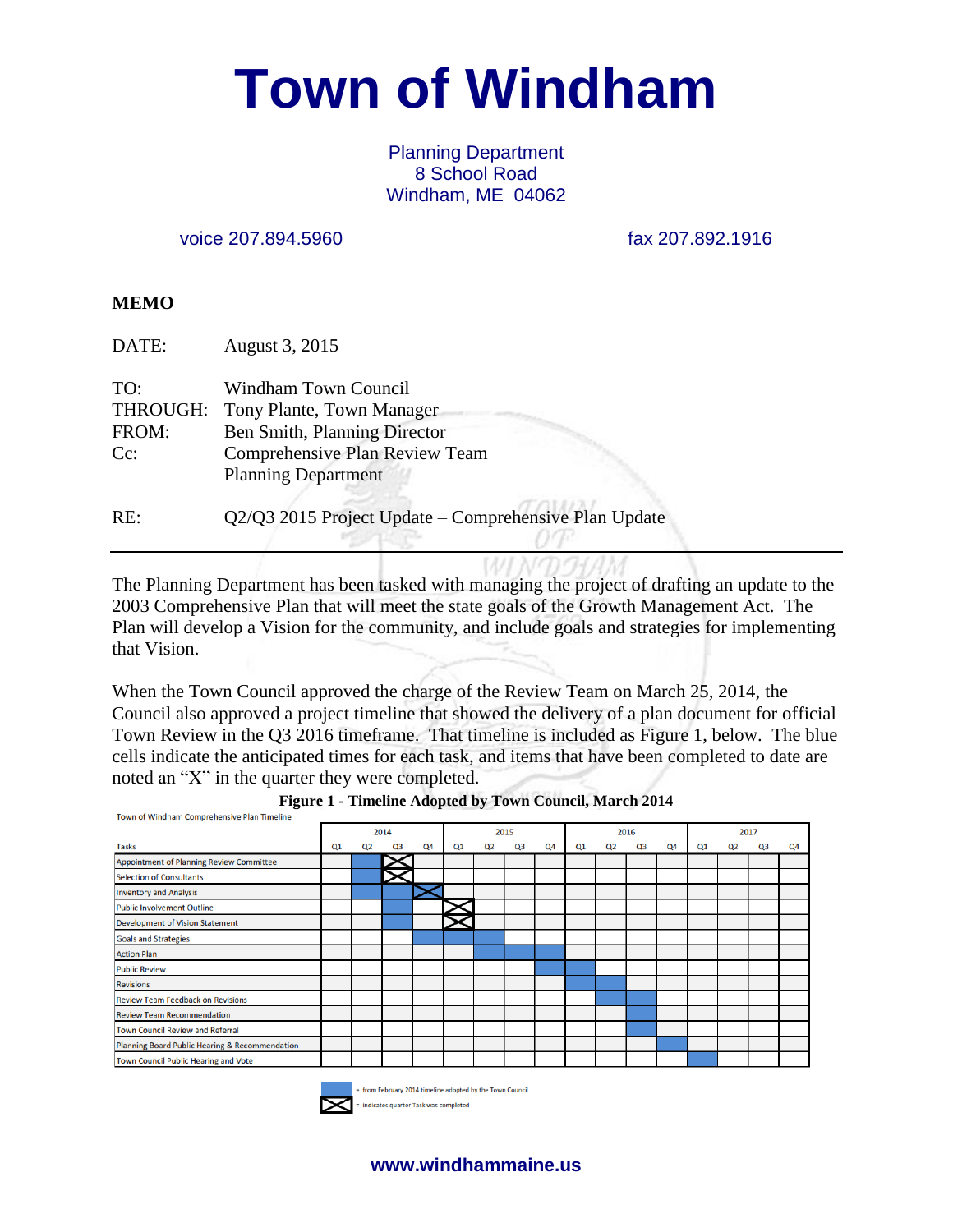# **Town of Windham**

#### Planning Department 8 School Road Windham, ME 04062

voice 207.894.5960 fax 207.892.1916

#### **MEMO**

| DATE:                              | August 3, 2015                                                                                                                                    |
|------------------------------------|---------------------------------------------------------------------------------------------------------------------------------------------------|
| TO:<br>THROUGH:<br>FROM:<br>$Cc$ : | Windham Town Council<br>Tony Plante, Town Manager<br>Ben Smith, Planning Director<br>Comprehensive Plan Review Team<br><b>Planning Department</b> |
| RE:                                | Q2/Q3 2015 Project Update - Comprehensive Plan Update                                                                                             |

The Planning Department has been tasked with managing the project of drafting an update to the 2003 Comprehensive Plan that will meet the state goals of the Growth Management Act. The Plan will develop a Vision for the community, and include goals and strategies for implementing that Vision.

When the Town Council approved the charge of the Review Team on March 25, 2014, the Council also approved a project timeline that showed the delivery of a plan document for official Town Review in the Q3 2016 timeframe. That timeline is included as Figure 1, below. The blue cells indicate the anticipated times for each task, and items that have been completed to date are noted an "X" in the quarter they were completed.

|                                                | 2014 |                |    |                | 2015       |                |    |                | 2016       |                |    |    | 2017 |                |                |    |
|------------------------------------------------|------|----------------|----|----------------|------------|----------------|----|----------------|------------|----------------|----|----|------|----------------|----------------|----|
| <b>Tasks</b>                                   | Q1   | Q <sub>2</sub> | Q3 | Q <sub>4</sub> | $\Omega$ 1 | Q <sub>2</sub> | Q3 | Q <sub>4</sub> | $\Omega$ 1 | Q <sub>2</sub> | Q3 | Q4 | Q1   | Q <sub>2</sub> | Q <sub>3</sub> | Q4 |
| Appointment of Planning Review Committee       |      |                |    |                |            |                |    |                |            |                |    |    |      |                |                |    |
| <b>Selection of Consultants</b>                |      |                |    |                |            |                |    |                |            |                |    |    |      |                |                |    |
| <b>Inventory and Analysis</b>                  |      |                |    |                |            |                |    |                |            |                |    |    |      |                |                |    |
| Public Involvement Outline                     |      |                |    |                |            |                |    |                |            |                |    |    |      |                |                |    |
| Development of Vision Statement                |      |                |    |                |            |                |    |                |            |                |    |    |      |                |                |    |
| <b>Goals and Strategies</b>                    |      |                |    |                |            |                |    |                |            |                |    |    |      |                |                |    |
| <b>Action Plan</b>                             |      |                |    |                |            |                |    |                |            |                |    |    |      |                |                |    |
| <b>Public Review</b>                           |      |                |    |                |            |                |    |                |            |                |    |    |      |                |                |    |
| <b>Revisions</b>                               |      |                |    |                |            |                |    |                |            |                |    |    |      |                |                |    |
| <b>Review Team Feedback on Revisions</b>       |      |                |    |                |            |                |    |                |            |                |    |    |      |                |                |    |
| <b>Review Team Recommendation</b>              |      |                |    |                |            |                |    |                |            |                |    |    |      |                |                |    |
| <b>Town Council Review and Referral</b>        |      |                |    |                |            |                |    |                |            |                |    |    |      |                |                |    |
| Planning Board Public Hearing & Recommendation |      |                |    |                |            |                |    |                |            |                |    |    |      |                |                |    |
| Town Council Public Hearing and Vote           |      |                |    |                |            |                |    |                |            |                |    |    |      |                |                |    |



from February 2014 timeline adopted by the Town Council indicates quarter Task was completed

**www.windhammaine.us**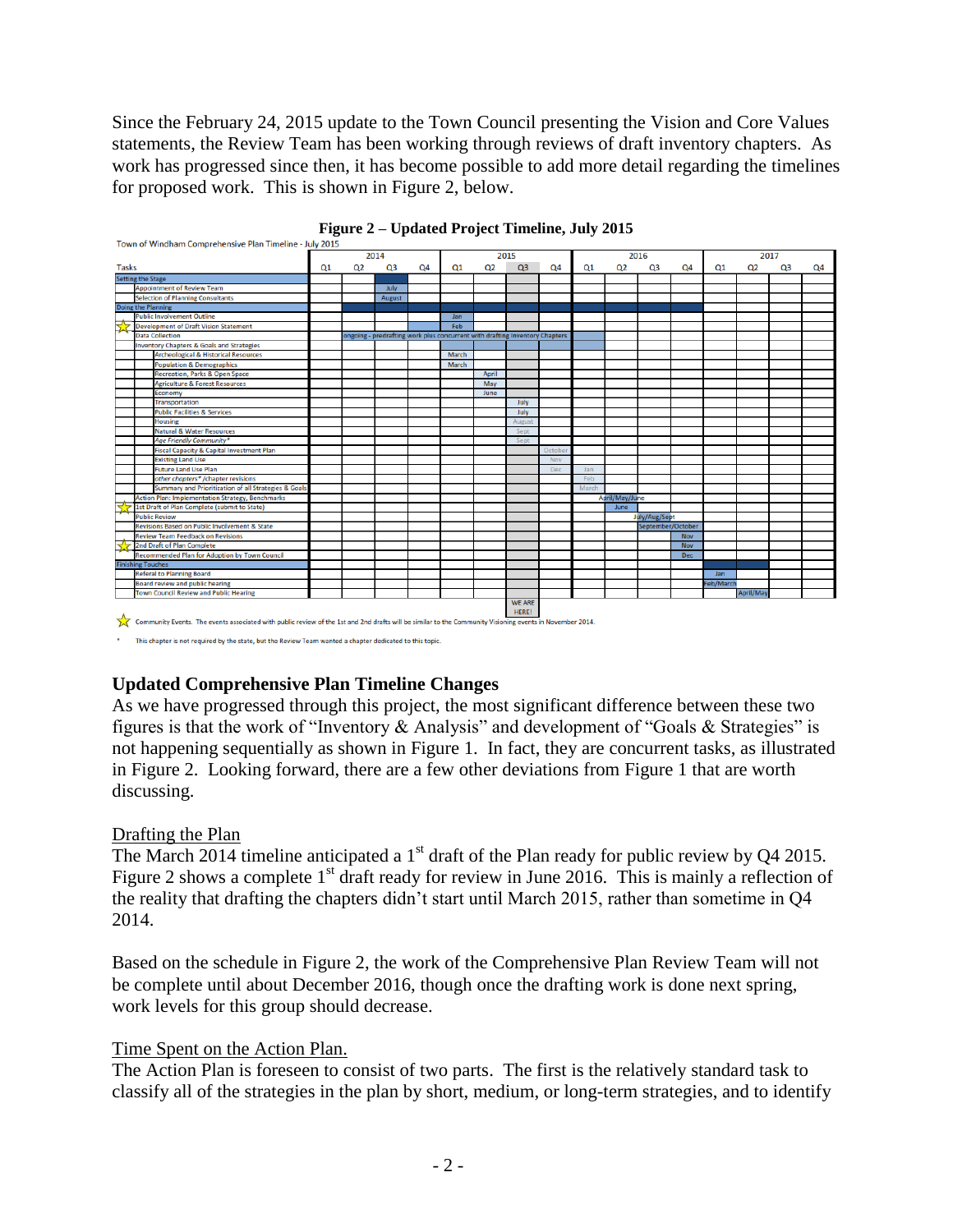Since the February 24, 2015 update to the Town Council presenting the Vision and Core Values statements, the Review Team has been working through reviews of draft inventory chapters. As work has progressed since then, it has become possible to add more detail regarding the timelines for proposed work. This is shown in Figure 2, below.





## **Updated Comprehensive Plan Timeline Changes**

As we have progressed through this project, the most significant difference between these two figures is that the work of "Inventory & Analysis" and development of "Goals & Strategies" is not happening sequentially as shown in Figure 1. In fact, they are concurrent tasks, as illustrated in Figure 2. Looking forward, there are a few other deviations from Figure 1 that are worth discussing.

## Drafting the Plan

The March 2014 timeline anticipated a  $1<sup>st</sup>$  draft of the Plan ready for public review by Q4 2015. Figure 2 shows a complete  $1<sup>st</sup>$  draft ready for review in June 2016. This is mainly a reflection of the reality that drafting the chapters didn't start until March 2015, rather than sometime in Q4 2014.

Based on the schedule in Figure 2, the work of the Comprehensive Plan Review Team will not be complete until about December 2016, though once the drafting work is done next spring, work levels for this group should decrease.

## Time Spent on the Action Plan.

The Action Plan is foreseen to consist of two parts. The first is the relatively standard task to classify all of the strategies in the plan by short, medium, or long-term strategies, and to identify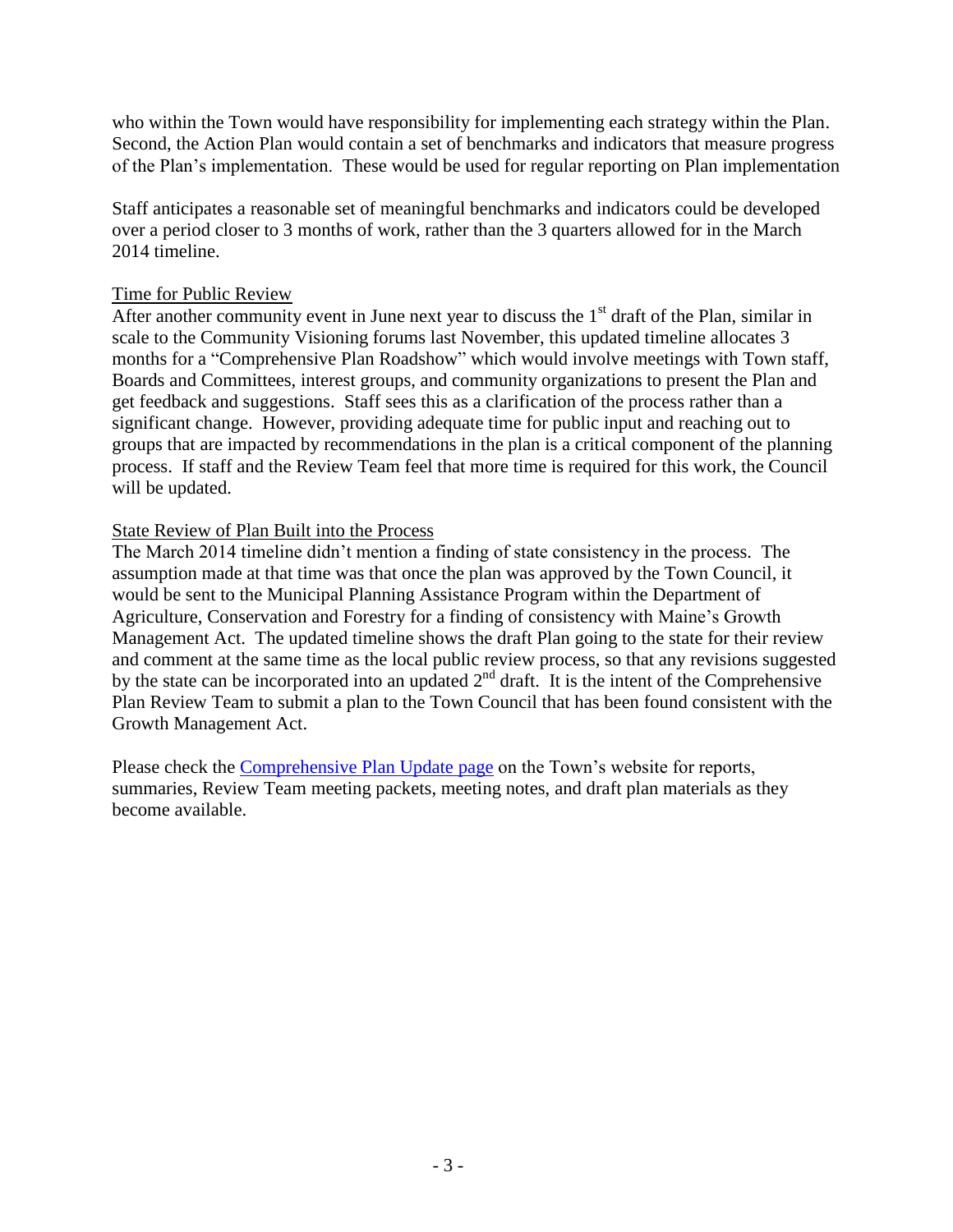who within the Town would have responsibility for implementing each strategy within the Plan. Second, the Action Plan would contain a set of benchmarks and indicators that measure progress of the Plan's implementation. These would be used for regular reporting on Plan implementation

Staff anticipates a reasonable set of meaningful benchmarks and indicators could be developed over a period closer to 3 months of work, rather than the 3 quarters allowed for in the March 2014 timeline.

#### Time for Public Review

After another community event in June next year to discuss the  $1<sup>st</sup>$  draft of the Plan, similar in scale to the Community Visioning forums last November, this updated timeline allocates 3 months for a "Comprehensive Plan Roadshow" which would involve meetings with Town staff, Boards and Committees, interest groups, and community organizations to present the Plan and get feedback and suggestions. Staff sees this as a clarification of the process rather than a significant change. However, providing adequate time for public input and reaching out to groups that are impacted by recommendations in the plan is a critical component of the planning process. If staff and the Review Team feel that more time is required for this work, the Council will be updated.

## State Review of Plan Built into the Process

The March 2014 timeline didn't mention a finding of state consistency in the process. The assumption made at that time was that once the plan was approved by the Town Council, it would be sent to the Municipal Planning Assistance Program within the Department of Agriculture, Conservation and Forestry for a finding of consistency with Maine's Growth Management Act. The updated timeline shows the draft Plan going to the state for their review and comment at the same time as the local public review process, so that any revisions suggested by the state can be incorporated into an updated  $2<sup>nd</sup>$  draft. It is the intent of the Comprehensive Plan Review Team to submit a plan to the Town Council that has been found consistent with the Growth Management Act.

Please check the [Comprehensive Plan Update page](http://www.windhammaine.us/225/Comprehensive-Plan) on the Town's website for reports, summaries, Review Team meeting packets, meeting notes, and draft plan materials as they become available.